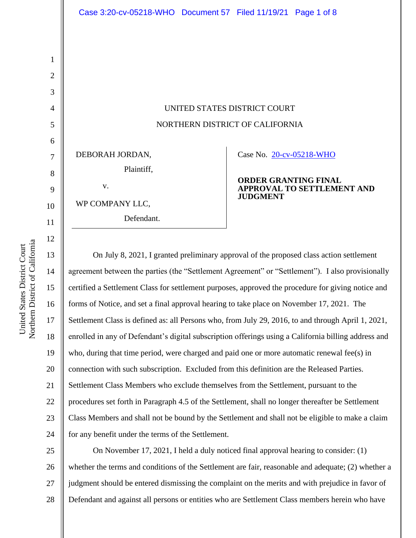UNITED STATES DISTRICT COURT NORTHERN DISTRICT OF CALIFORNIA

DEBORAH JORDAN,

v.

WP COMPANY LLC,

Defendant.

Plaintiff,

Case No. [20-cv-05218-WHO](https://ecf.cand.uscourts.gov/cgi-bin/DktRpt.pl?363371) 

**ORDER GRANTING FINAL APPROVAL TO SETTLEMENT AND JUDGMENT**

On July 8, 2021, I granted preliminary approval of the proposed class action settlement agreement between the parties (the "Settlement Agreement" or "Settlement"). I also provisionally certified a Settlement Class for settlement purposes, approved the procedure for giving notice and forms of Notice, and set a final approval hearing to take place on November 17, 2021. The Settlement Class is defined as: all Persons who, from July 29, 2016, to and through April 1, 2021, enrolled in any of Defendant's digital subscription offerings using a California billing address and who, during that time period, were charged and paid one or more automatic renewal fee(s) in connection with such subscription. Excluded from this definition are the Released Parties. Settlement Class Members who exclude themselves from the Settlement, pursuant to the procedures set forth in Paragraph 4.5 of the Settlement, shall no longer thereafter be Settlement Class Members and shall not be bound by the Settlement and shall not be eligible to make a claim for any benefit under the terms of the Settlement.

25 26 27 28 On November 17, 2021, I held a duly noticed final approval hearing to consider: (1) whether the terms and conditions of the Settlement are fair, reasonable and adequate; (2) whether a judgment should be entered dismissing the complaint on the merits and with prejudice in favor of Defendant and against all persons or entities who are Settlement Class members herein who have

1

2

3

4

5

6

7

8

9

10

11

12

13

14

15

16

17

18

19

20

21

22

23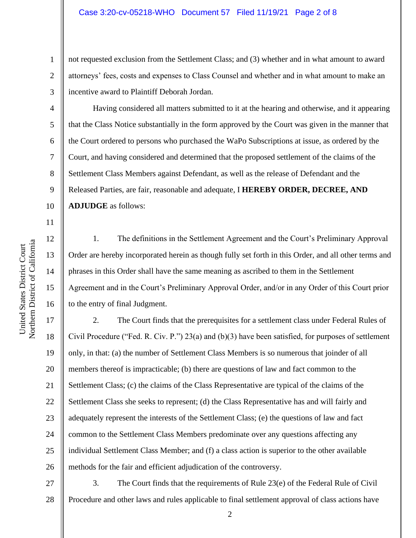not requested exclusion from the Settlement Class; and (3) whether and in what amount to award attorneys' fees, costs and expenses to Class Counsel and whether and in what amount to make an incentive award to Plaintiff Deborah Jordan.

Having considered all matters submitted to it at the hearing and otherwise, and it appearing that the Class Notice substantially in the form approved by the Court was given in the manner that the Court ordered to persons who purchased the WaPo Subscriptions at issue, as ordered by the Court, and having considered and determined that the proposed settlement of the claims of the Settlement Class Members against Defendant, as well as the release of Defendant and the Released Parties, are fair, reasonable and adequate, I **HEREBY ORDER, DECREE, AND ADJUDGE** as follows:

11

12

13

14

15

16

10

1

2

3

4

5

6

7

8

9

1. The definitions in the Settlement Agreement and the Court's Preliminary Approval Order are hereby incorporated herein as though fully set forth in this Order, and all other terms and phrases in this Order shall have the same meaning as ascribed to them in the Settlement Agreement and in the Court's Preliminary Approval Order, and/or in any Order of this Court prior to the entry of final Judgment.

17 18 19 20 21 22 23 24 25 26 2. The Court finds that the prerequisites for a settlement class under Federal Rules of Civil Procedure ("Fed. R. Civ. P.") 23(a) and (b)(3) have been satisfied, for purposes of settlement only, in that: (a) the number of Settlement Class Members is so numerous that joinder of all members thereof is impracticable; (b) there are questions of law and fact common to the Settlement Class; (c) the claims of the Class Representative are typical of the claims of the Settlement Class she seeks to represent; (d) the Class Representative has and will fairly and adequately represent the interests of the Settlement Class; (e) the questions of law and fact common to the Settlement Class Members predominate over any questions affecting any individual Settlement Class Member; and (f) a class action is superior to the other available methods for the fair and efficient adjudication of the controversy.

27 28 3. The Court finds that the requirements of Rule 23(e) of the Federal Rule of Civil Procedure and other laws and rules applicable to final settlement approval of class actions have

Northern District of California Northern District of California United States District Court United States District Court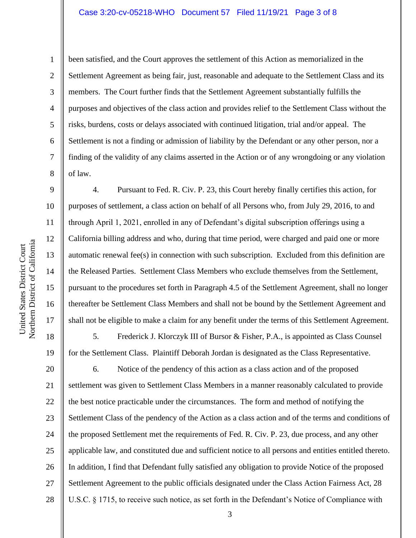10 11 12

1

2

3

4

5

6

7

8

9

13

14

15

16

17

18

19

been satisfied, and the Court approves the settlement of this Action as memorialized in the Settlement Agreement as being fair, just, reasonable and adequate to the Settlement Class and its members. The Court further finds that the Settlement Agreement substantially fulfills the purposes and objectives of the class action and provides relief to the Settlement Class without the risks, burdens, costs or delays associated with continued litigation, trial and/or appeal. The Settlement is not a finding or admission of liability by the Defendant or any other person, nor a finding of the validity of any claims asserted in the Action or of any wrongdoing or any violation of law.

4. Pursuant to Fed. R. Civ. P. 23, this Court hereby finally certifies this action, for purposes of settlement, a class action on behalf of all Persons who, from July 29, 2016, to and through April 1, 2021, enrolled in any of Defendant's digital subscription offerings using a California billing address and who, during that time period, were charged and paid one or more automatic renewal fee(s) in connection with such subscription. Excluded from this definition are the Released Parties. Settlement Class Members who exclude themselves from the Settlement, pursuant to the procedures set forth in Paragraph 4.5 of the Settlement Agreement, shall no longer thereafter be Settlement Class Members and shall not be bound by the Settlement Agreement and shall not be eligible to make a claim for any benefit under the terms of this Settlement Agreement.

5. Frederick J. Klorczyk III of Bursor & Fisher, P.A., is appointed as Class Counsel for the Settlement Class. Plaintiff Deborah Jordan is designated as the Class Representative.

20 21 22 23 24 25 26 27 28 6. Notice of the pendency of this action as a class action and of the proposed settlement was given to Settlement Class Members in a manner reasonably calculated to provide the best notice practicable under the circumstances. The form and method of notifying the Settlement Class of the pendency of the Action as a class action and of the terms and conditions of the proposed Settlement met the requirements of Fed. R. Civ. P. 23, due process, and any other applicable law, and constituted due and sufficient notice to all persons and entities entitled thereto. In addition, I find that Defendant fully satisfied any obligation to provide Notice of the proposed Settlement Agreement to the public officials designated under the Class Action Fairness Act, 28 U.S.C. § 1715, to receive such notice, as set forth in the Defendant's Notice of Compliance with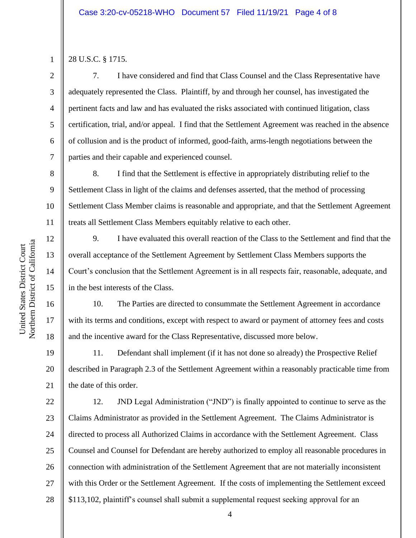1 2

3

4

5

6

7

8

9

11

12

13

14

15

16

17

18

19

20

21

28 U.S.C. § 1715.

7. I have considered and find that Class Counsel and the Class Representative have adequately represented the Class. Plaintiff, by and through her counsel, has investigated the pertinent facts and law and has evaluated the risks associated with continued litigation, class certification, trial, and/or appeal. I find that the Settlement Agreement was reached in the absence of collusion and is the product of informed, good-faith, arms-length negotiations between the parties and their capable and experienced counsel.

10 8. I find that the Settlement is effective in appropriately distributing relief to the Settlement Class in light of the claims and defenses asserted, that the method of processing Settlement Class Member claims is reasonable and appropriate, and that the Settlement Agreement treats all Settlement Class Members equitably relative to each other.

9. I have evaluated this overall reaction of the Class to the Settlement and find that the overall acceptance of the Settlement Agreement by Settlement Class Members supports the Court's conclusion that the Settlement Agreement is in all respects fair, reasonable, adequate, and in the best interests of the Class.

10. The Parties are directed to consummate the Settlement Agreement in accordance with its terms and conditions, except with respect to award or payment of attorney fees and costs and the incentive award for the Class Representative, discussed more below.

11. Defendant shall implement (if it has not done so already) the Prospective Relief described in Paragraph 2.3 of the Settlement Agreement within a reasonably practicable time from the date of this order.

22 23 24 25 26 27 28 12. JND Legal Administration ("JND") is finally appointed to continue to serve as the Claims Administrator as provided in the Settlement Agreement. The Claims Administrator is directed to process all Authorized Claims in accordance with the Settlement Agreement. Class Counsel and Counsel for Defendant are hereby authorized to employ all reasonable procedures in connection with administration of the Settlement Agreement that are not materially inconsistent with this Order or the Settlement Agreement. If the costs of implementing the Settlement exceed \$113,102, plaintiff's counsel shall submit a supplemental request seeking approval for an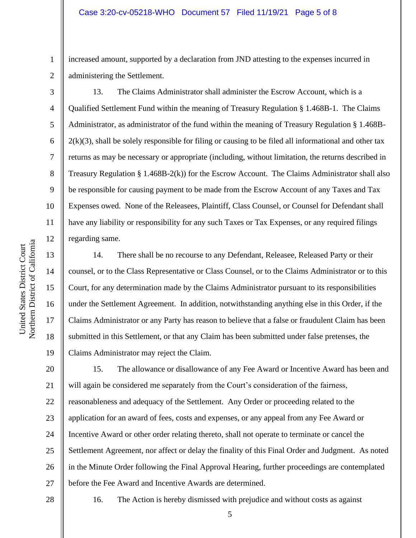## Case 3:20-cv-05218-WHO Document 57 Filed 11/19/21 Page 5 of 8

increased amount, supported by a declaration from JND attesting to the expenses incurred in administering the Settlement.

13. The Claims Administrator shall administer the Escrow Account, which is a Qualified Settlement Fund within the meaning of Treasury Regulation § 1.468B-1. The Claims Administrator, as administrator of the fund within the meaning of Treasury Regulation § 1.468B- $2(k)(3)$ , shall be solely responsible for filing or causing to be filed all informational and other tax returns as may be necessary or appropriate (including, without limitation, the returns described in Treasury Regulation § 1.468B-2(k)) for the Escrow Account. The Claims Administrator shall also be responsible for causing payment to be made from the Escrow Account of any Taxes and Tax Expenses owed. None of the Releasees, Plaintiff, Class Counsel, or Counsel for Defendant shall have any liability or responsibility for any such Taxes or Tax Expenses, or any required filings regarding same.

14. There shall be no recourse to any Defendant, Releasee, Released Party or their counsel, or to the Class Representative or Class Counsel, or to the Claims Administrator or to this Court, for any determination made by the Claims Administrator pursuant to its responsibilities under the Settlement Agreement. In addition, notwithstanding anything else in this Order, if the Claims Administrator or any Party has reason to believe that a false or fraudulent Claim has been submitted in this Settlement, or that any Claim has been submitted under false pretenses, the Claims Administrator may reject the Claim.

20 21 22 23 24 25 26 27 15. The allowance or disallowance of any Fee Award or Incentive Award has been and will again be considered me separately from the Court's consideration of the fairness, reasonableness and adequacy of the Settlement. Any Order or proceeding related to the application for an award of fees, costs and expenses, or any appeal from any Fee Award or Incentive Award or other order relating thereto, shall not operate to terminate or cancel the Settlement Agreement, nor affect or delay the finality of this Final Order and Judgment. As noted in the Minute Order following the Final Approval Hearing, further proceedings are contemplated before the Fee Award and Incentive Awards are determined.

16. The Action is hereby dismissed with prejudice and without costs as against

1

2

3

4

5

6

7

8

9

10

11

12

13

14

15

16

17

18

<sup>28</sup>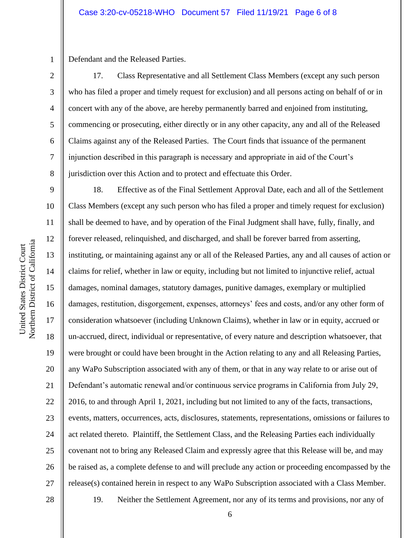1 Defendant and the Released Parties.

17. Class Representative and all Settlement Class Members (except any such person who has filed a proper and timely request for exclusion) and all persons acting on behalf of or in concert with any of the above, are hereby permanently barred and enjoined from instituting, commencing or prosecuting, either directly or in any other capacity, any and all of the Released Claims against any of the Released Parties. The Court finds that issuance of the permanent injunction described in this paragraph is necessary and appropriate in aid of the Court's jurisdiction over this Action and to protect and effectuate this Order.

9 10 11 12 13 14 15 16 17 18 19 20 21 22 23 24 25 26 27 28 18. Effective as of the Final Settlement Approval Date, each and all of the Settlement Class Members (except any such person who has filed a proper and timely request for exclusion) shall be deemed to have, and by operation of the Final Judgment shall have, fully, finally, and forever released, relinquished, and discharged, and shall be forever barred from asserting, instituting, or maintaining against any or all of the Released Parties, any and all causes of action or claims for relief, whether in law or equity, including but not limited to injunctive relief, actual damages, nominal damages, statutory damages, punitive damages, exemplary or multiplied damages, restitution, disgorgement, expenses, attorneys' fees and costs, and/or any other form of consideration whatsoever (including Unknown Claims), whether in law or in equity, accrued or un-accrued, direct, individual or representative, of every nature and description whatsoever, that were brought or could have been brought in the Action relating to any and all Releasing Parties, any WaPo Subscription associated with any of them, or that in any way relate to or arise out of Defendant's automatic renewal and/or continuous service programs in California from July 29, 2016, to and through April 1, 2021, including but not limited to any of the facts, transactions, events, matters, occurrences, acts, disclosures, statements, representations, omissions or failures to act related thereto. Plaintiff, the Settlement Class, and the Releasing Parties each individually covenant not to bring any Released Claim and expressly agree that this Release will be, and may be raised as, a complete defense to and will preclude any action or proceeding encompassed by the release(s) contained herein in respect to any WaPo Subscription associated with a Class Member. 19. Neither the Settlement Agreement, nor any of its terms and provisions, nor any of

2

3

4

5

6

7

8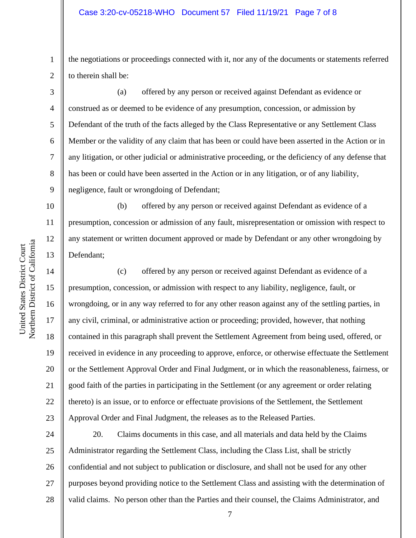1 2 the negotiations or proceedings connected with it, nor any of the documents or statements referred to therein shall be:

(a) offered by any person or received against Defendant as evidence or construed as or deemed to be evidence of any presumption, concession, or admission by Defendant of the truth of the facts alleged by the Class Representative or any Settlement Class Member or the validity of any claim that has been or could have been asserted in the Action or in any litigation, or other judicial or administrative proceeding, or the deficiency of any defense that has been or could have been asserted in the Action or in any litigation, or of any liability, negligence, fault or wrongdoing of Defendant;

(b) offered by any person or received against Defendant as evidence of a presumption, concession or admission of any fault, misrepresentation or omission with respect to any statement or written document approved or made by Defendant or any other wrongdoing by Defendant;

(c) offered by any person or received against Defendant as evidence of a presumption, concession, or admission with respect to any liability, negligence, fault, or wrongdoing, or in any way referred to for any other reason against any of the settling parties, in any civil, criminal, or administrative action or proceeding; provided, however, that nothing contained in this paragraph shall prevent the Settlement Agreement from being used, offered, or received in evidence in any proceeding to approve, enforce, or otherwise effectuate the Settlement or the Settlement Approval Order and Final Judgment, or in which the reasonableness, fairness, or good faith of the parties in participating in the Settlement (or any agreement or order relating thereto) is an issue, or to enforce or effectuate provisions of the Settlement, the Settlement Approval Order and Final Judgment, the releases as to the Released Parties.

24 25 26 27 28 20. Claims documents in this case, and all materials and data held by the Claims Administrator regarding the Settlement Class, including the Class List, shall be strictly confidential and not subject to publication or disclosure, and shall not be used for any other purposes beyond providing notice to the Settlement Class and assisting with the determination of valid claims. No person other than the Parties and their counsel, the Claims Administrator, and

3

4

5

6

7

8

9

10

11

12

13

14

15

16

17

18

19

20

21

22